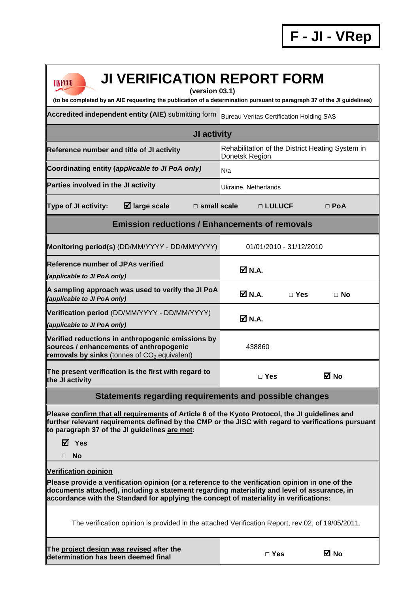| <b>JI VERIFICATION REPORT FORM</b><br><b>UNFCCC</b><br>(version 03.1)                                                                                                                                                                                                                    |                                                                    |                         |            |  |  |  |  |  |
|------------------------------------------------------------------------------------------------------------------------------------------------------------------------------------------------------------------------------------------------------------------------------------------|--------------------------------------------------------------------|-------------------------|------------|--|--|--|--|--|
| (to be completed by an AIE requesting the publication of a determination pursuant to paragraph 37 of the JI guidelines)                                                                                                                                                                  |                                                                    |                         |            |  |  |  |  |  |
| Accredited independent entity (AIE) submitting form                                                                                                                                                                                                                                      | <b>Bureau Veritas Certification Holding SAS</b>                    |                         |            |  |  |  |  |  |
| JI activity                                                                                                                                                                                                                                                                              |                                                                    |                         |            |  |  |  |  |  |
| Reference number and title of JI activity                                                                                                                                                                                                                                                | Rehabilitation of the District Heating System in<br>Donetsk Region |                         |            |  |  |  |  |  |
| Coordinating entity (applicable to JI PoA only)                                                                                                                                                                                                                                          | N/a                                                                |                         |            |  |  |  |  |  |
| Parties involved in the JI activity                                                                                                                                                                                                                                                      | Ukraine, Netherlands                                               |                         |            |  |  |  |  |  |
| Type of JI activity:<br>$\boxtimes$ large scale<br>$\Box$ small scale                                                                                                                                                                                                                    | □ LULUCF                                                           |                         | $\Box$ PoA |  |  |  |  |  |
|                                                                                                                                                                                                                                                                                          | <b>Emission reductions / Enhancements of removals</b>              |                         |            |  |  |  |  |  |
| Monitoring period(s) (DD/MM/YYYY - DD/MM/YYYY)                                                                                                                                                                                                                                           |                                                                    | 01/01/2010 - 31/12/2010 |            |  |  |  |  |  |
| Reference number of JPAs verified<br>(applicable to JI PoA only)                                                                                                                                                                                                                         | Ø N.A.                                                             |                         |            |  |  |  |  |  |
| A sampling approach was used to verify the JI PoA<br>(applicable to JI PoA only)                                                                                                                                                                                                         | $M$ N.A.                                                           | $\Box$ Yes              | $\Box$ No  |  |  |  |  |  |
| Verification period (DD/MM/YYYY - DD/MM/YYYY)<br>(applicable to JI PoA only)                                                                                                                                                                                                             | Ø N.A.                                                             |                         |            |  |  |  |  |  |
| Verified reductions in anthropogenic emissions by<br>sources / enhancements of anthropogenic<br>removals by sinks (tonnes of $CO2$ equivalent)                                                                                                                                           | 438860                                                             |                         |            |  |  |  |  |  |
| The present verification is the first with regard to<br>the JI activity                                                                                                                                                                                                                  | $\Box$ Yes                                                         |                         | M No       |  |  |  |  |  |
| Statements regarding requirements and possible changes                                                                                                                                                                                                                                   |                                                                    |                         |            |  |  |  |  |  |
| Please confirm that all requirements of Article 6 of the Kyoto Protocol, the JI guidelines and<br>further relevant requirements defined by the CMP or the JISC with regard to verifications pursuant<br>to paragraph 37 of the JI guidelines are met:<br>⊠ Yes<br><b>No</b>              |                                                                    |                         |            |  |  |  |  |  |
| <b>Verification opinion</b>                                                                                                                                                                                                                                                              |                                                                    |                         |            |  |  |  |  |  |
| Please provide a verification opinion (or a reference to the verification opinion in one of the<br>documents attached), including a statement regarding materiality and level of assurance, in<br>accordance with the Standard for applying the concept of materiality in verifications: |                                                                    |                         |            |  |  |  |  |  |
| The verification opinion is provided in the attached Verification Report, rev.02, of 19/05/2011.                                                                                                                                                                                         |                                                                    |                         |            |  |  |  |  |  |
| The project design was revised after the<br>determination has been deemed final                                                                                                                                                                                                          | $\square$ Yes                                                      |                         | M No       |  |  |  |  |  |